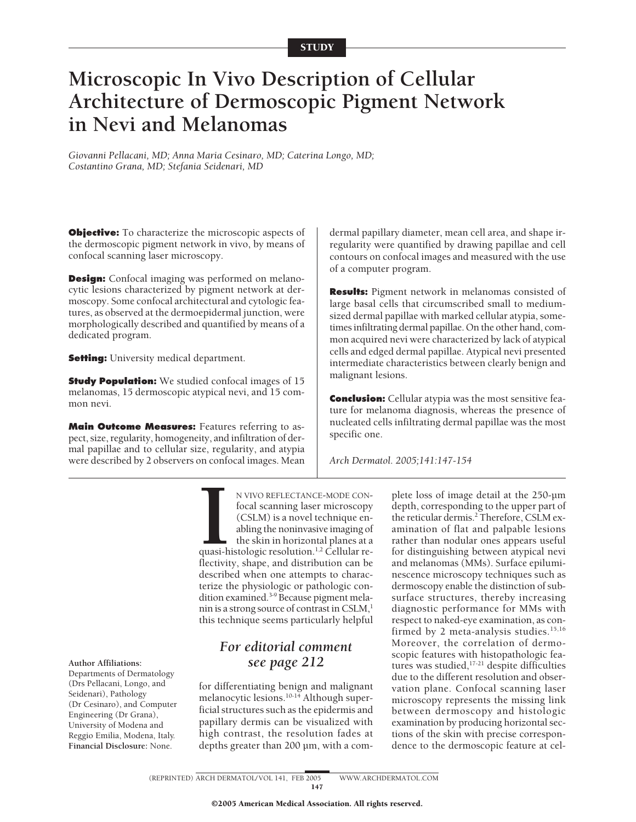# **Microscopic In Vivo Description of Cellular Architecture of Dermoscopic Pigment Network in Nevi and Melanomas**

*Giovanni Pellacani, MD; Anna Maria Cesinaro, MD; Caterina Longo, MD; Costantino Grana, MD; Stefania Seidenari, MD*

**Objective:** To characterize the microscopic aspects of the dermoscopic pigment network in vivo, by means of confocal scanning laser microscopy.

**Design:** Confocal imaging was performed on melanocytic lesions characterized by pigment network at dermoscopy. Some confocal architectural and cytologic features, as observed at the dermoepidermal junction, were morphologically described and quantified by means of a dedicated program.

**Setting:** University medical department.

**Study Population:** We studied confocal images of 15 melanomas, 15 dermoscopic atypical nevi, and 15 common nevi.

**Main Outcome Measures:** Features referring to aspect, size, regularity, homogeneity, and infiltration of dermal papillae and to cellular size, regularity, and atypia were described by 2 observers on confocal images. Mean

dermal papillary diameter, mean cell area, and shape irregularity were quantified by drawing papillae and cell contours on confocal images and measured with the use of a computer program.

**Results:** Pigment network in melanomas consisted of large basal cells that circumscribed small to mediumsized dermal papillae with marked cellular atypia, sometimes infiltrating dermal papillae. On the other hand, common acquired nevi were characterized by lack of atypical cells and edged dermal papillae. Atypical nevi presented intermediate characteristics between clearly benign and malignant lesions.

**Conclusion:** Cellular atypia was the most sensitive feature for melanoma diagnosis, whereas the presence of nucleated cells infiltrating dermal papillae was the most specific one.

*Arch Dermatol. 2005;141:147-154*

**I**<br>quasi-h<br>flectivit N VIVO REFLECTANCE-MODE CONfocal scanning laser microscopy (CSLM) is a novel technique enabling the noninvasive imaging of the skin in horizontal planes at a quasi-histologic resolution.1,2 Cellular reflectivity, shape, and distribution can be described when one attempts to characterize the physiologic or pathologic condition examined.<sup>3-9</sup> Because pigment melanin is a strong source of contrast in  $CSLM$ ,<sup>1</sup> this technique seems particularly helpful

## *For editorial comment* **Author Affiliations:** *see page 212* Departments of Dermatology

for differentiating benign and malignant melanocytic lesions.10-14 Although superficial structures such as the epidermis and papillary dermis can be visualized with high contrast, the resolution fades at depths greater than 200 µm, with a com-

plete loss of image detail at the 250-µm depth, corresponding to the upper part of the reticular dermis.<sup>2</sup> Therefore, CSLM examination of flat and palpable lesions rather than nodular ones appears useful for distinguishing between atypical nevi and melanomas (MMs). Surface epiluminescence microscopy techniques such as dermoscopy enable the distinction of subsurface structures, thereby increasing diagnostic performance for MMs with respect to naked-eye examination, as confirmed by 2 meta-analysis studies.<sup>15,16</sup> Moreover, the correlation of dermoscopic features with histopathologic features was studied, $17-21$  despite difficulties due to the different resolution and observation plane. Confocal scanning laser microscopy represents the missing link between dermoscopy and histologic examination by producing horizontal sections of the skin with precise correspondence to the dermoscopic feature at cel-

(Drs Pellacani, Longo, and Seidenari), Pathology (Dr Cesinaro), and Computer Engineering (Dr Grana), University of Modena and Reggio Emilia, Modena, Italy. **Financial Disclosure:** None.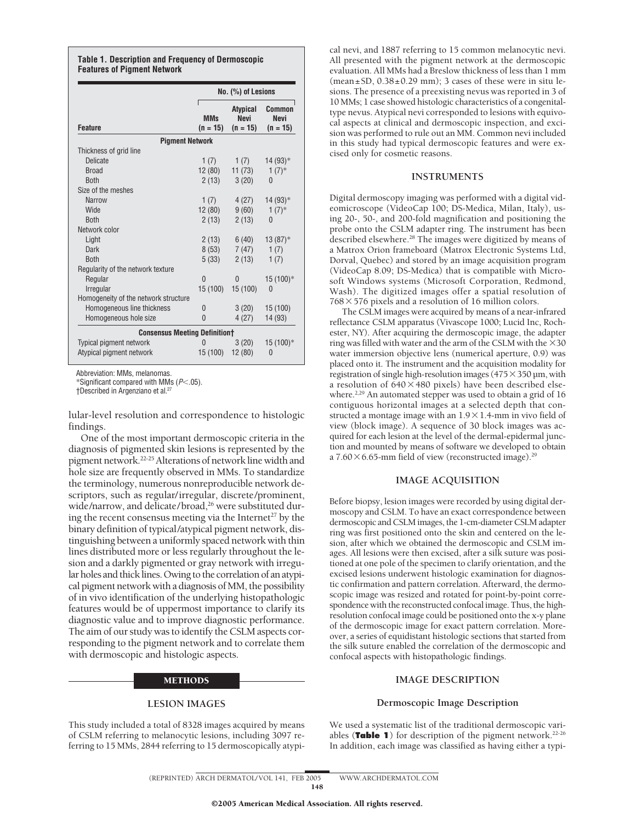#### **Table 1. Description and Frequency of Dermoscopic Features of Pigment Network**

|                                      | No. (%) of Lesions       |                                              |                                     |
|--------------------------------------|--------------------------|----------------------------------------------|-------------------------------------|
| <b>Feature</b>                       | <b>MMs</b><br>$(n = 15)$ | <b>Atypical</b><br><b>Nevi</b><br>$(n = 15)$ | Common<br><b>Nevi</b><br>$(n = 15)$ |
| <b>Pigment Network</b>               |                          |                                              |                                     |
| Thickness of grid line               |                          |                                              |                                     |
| <b>Delicate</b>                      | 1 $(7)$                  | 1(7)                                         | 14 (93)*                            |
| <b>Broad</b>                         | 12(80)                   | 11(73)                                       | $1(7)$ *                            |
| <b>Both</b>                          | 2(13)                    | 3(20)                                        | 0                                   |
| Size of the meshes                   |                          |                                              |                                     |
| <b>Narrow</b>                        | 1(7)                     | 4(27)                                        | $14(93)*$                           |
| Wide                                 | 12 (80)                  | 9(60)                                        | $1(7)^*$                            |
| <b>Both</b>                          | 2(13)                    | 2(13)                                        | 0                                   |
| Network color                        |                          |                                              |                                     |
| Light                                | 2(13)                    | 6(40)                                        | $13(87)$ *                          |
| Dark                                 | 8 (53)                   | 7 (47)                                       | 1(7)                                |
| <b>Both</b>                          | 5(33)                    | 2(13)                                        | 1(7)                                |
| Regularity of the network texture    |                          |                                              |                                     |
| Regular                              | $\overline{0}$           | $\mathbf{0}$                                 | 15 (100)*                           |
| Irregular                            | 15 (100)                 | 15 (100)                                     | 0                                   |
| Homogeneity of the network structure |                          |                                              |                                     |
| Homogeneous line thickness           | 0                        | 3(20)                                        | 15(100)                             |
| Homogeneous hole size                | $\mathbf{0}$             | 4(27)                                        | 14 (93)                             |
| <b>Consensus Meeting Definitiont</b> |                          |                                              |                                     |
| Typical pigment network              | 0                        | 3(20)                                        | 15 (100)*                           |
| Atypical pigment network             | 15 (100)                 | 12(80)                                       | 0                                   |

Abbreviation: MMs, melanomas.

\*Significant compared with MMs (*P*-.05).

†Described in Argenziano et al.27

lular-level resolution and correspondence to histologic findings.

One of the most important dermoscopic criteria in the diagnosis of pigmented skin lesions is represented by the pigment network.22-25Alterations of network line width and hole size are frequently observed in MMs. To standardize the terminology, numerous nonreproducible network descriptors, such as regular/irregular, discrete/prominent, wide/narrow, and delicate/broad,<sup>26</sup> were substituted during the recent consensus meeting via the Internet<sup>27</sup> by the binary definition of typical/atypical pigment network, distinguishing between a uniformly spaced network with thin lines distributed more or less regularly throughout the lesion and a darkly pigmented or gray network with irregular holes and thick lines. Owing to the correlation of an atypical pigment network with a diagnosis of MM, the possibility of in vivo identification of the underlying histopathologic features would be of uppermost importance to clarify its diagnostic value and to improve diagnostic performance. The aim of our study was to identify the CSLM aspects corresponding to the pigment network and to correlate them with dermoscopic and histologic aspects.

#### METHODS

#### **LESION IMAGES**

This study included a total of 8328 images acquired by means of CSLM referring to melanocytic lesions, including 3097 referring to 15 MMs, 2844 referring to 15 dermoscopically atypical nevi, and 1887 referring to 15 common melanocytic nevi. All presented with the pigment network at the dermoscopic evaluation. All MMs had a Breslow thickness of less than 1 mm  $(\text{mean} \pm S\text{D}, 0.38 \pm 0.29 \text{ mm})$ ; 3 cases of these were in situ lesions. The presence of a preexisting nevus was reported in 3 of 10 MMs; 1 case showed histologic characteristics of a congenitaltype nevus. Atypical nevi corresponded to lesions with equivocal aspects at clinical and dermoscopic inspection, and excision was performed to rule out an MM. Common nevi included in this study had typical dermoscopic features and were excised only for cosmetic reasons.

#### **INSTRUMENTS**

Digital dermoscopy imaging was performed with a digital videomicroscope (VideoCap 100; DS-Medica, Milan, Italy), using 20-, 50-, and 200-fold magnification and positioning the probe onto the CSLM adapter ring. The instrument has been described elsewhere.28 The images were digitized by means of a Matrox Orion frameboard (Matrox Electronic Systems Ltd, Dorval, Quebec) and stored by an image acquisition program (VideoCap 8.09; DS-Medica) that is compatible with Microsoft Windows systems (Microsoft Corporation, Redmond, Wash). The digitized images offer a spatial resolution of  $768 \times 576$  pixels and a resolution of 16 million colors.

The CSLM images were acquired by means of a near-infrared reflectance CSLM apparatus (Vivascope 1000; Lucid Inc, Rochester, NY). After acquiring the dermoscopic image, the adapter ring was filled with water and the arm of the CSLM with the  $\times 30$ water immersion objective lens (numerical aperture, 0.9) was placed onto it. The instrument and the acquisition modality for registration of single high-resolution images  $(475 \times 350 \,\mathrm{\upmu m}, \mathrm{with}$ a resolution of  $640\times480$  pixels) have been described elsewhere.<sup>2,29</sup> An automated stepper was used to obtain a grid of 16 contiguous horizontal images at a selected depth that constructed a montage image with an  $1.9 \times 1.4$ -mm in vivo field of view (block image). A sequence of 30 block images was acquired for each lesion at the level of the dermal-epidermal junction and mounted by means of software we developed to obtain a  $7.60 \times 6.65$ -mm field of view (reconstructed image).<sup>29</sup>

### **IMAGE ACQUISITION**

Before biopsy, lesion images were recorded by using digital dermoscopy and CSLM. To have an exact correspondence between dermoscopic and CSLM images, the 1-cm-diameter CSLM adapter ring was first positioned onto the skin and centered on the lesion, after which we obtained the dermoscopic and CSLM images. All lesions were then excised, after a silk suture was positioned at one pole of the specimen to clarify orientation, and the excised lesions underwent histologic examination for diagnostic confirmation and pattern correlation. Afterward, the dermoscopic image was resized and rotated for point-by-point correspondence with the reconstructed confocal image. Thus, the highresolution confocal image could be positioned onto the x-y plane of the dermoscopic image for exact pattern correlation. Moreover, a series of equidistant histologic sections that started from the silk suture enabled the correlation of the dermoscopic and confocal aspects with histopathologic findings.

#### **IMAGE DESCRIPTION**

#### **Dermoscopic Image Description**

We used a systematic list of the traditional dermoscopic variables (Table 1) for description of the pigment network.<sup>22-26</sup> In addition, each image was classified as having either a typi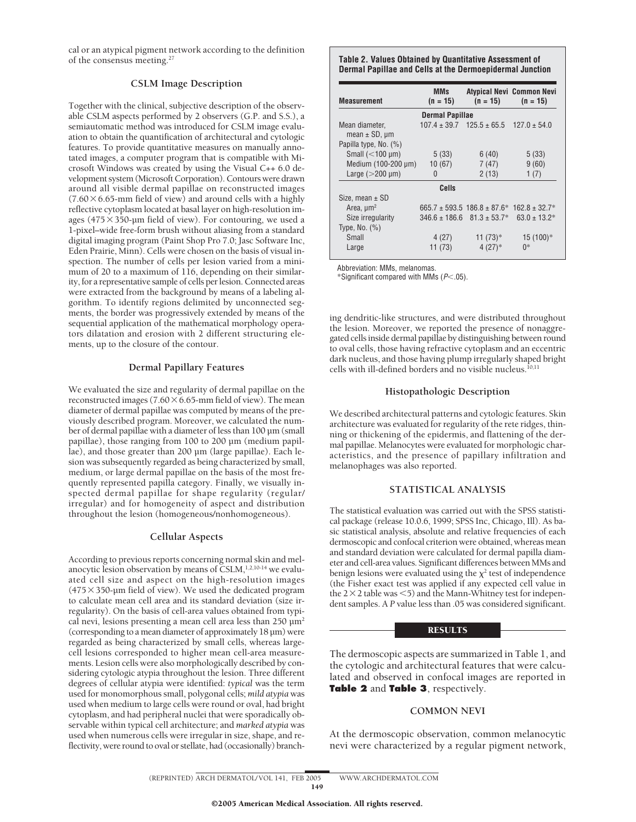cal or an atypical pigment network according to the definition of the consensus meeting.27

### **CSLM Image Description**

Together with the clinical, subjective description of the observable CSLM aspects performed by 2 observers (G.P. and S.S.), a semiautomatic method was introduced for CSLM image evaluation to obtain the quantification of architectural and cytologic features. To provide quantitative measures on manually annotated images, a computer program that is compatible with Microsoft Windows was created by using the Visual C++ 6.0 development system (Microsoft Corporation). Contours were drawn around all visible dermal papillae on reconstructed images  $(7.60\times6.65$ -mm field of view) and around cells with a highly reflective cytoplasm located at basal layer on high-resolution images (475 $\times$ 350-µm field of view). For contouring, we used a 1-pixel–wide free-form brush without aliasing from a standard digital imaging program (Paint Shop Pro 7.0; Jasc Software Inc, Eden Prairie, Minn). Cells were chosen on the basis of visual inspection. The number of cells per lesion varied from a minimum of 20 to a maximum of 116, depending on their similarity, for a representative sample of cells per lesion. Connected areas were extracted from the background by means of a labeling algorithm. To identify regions delimited by unconnected segments, the border was progressively extended by means of the sequential application of the mathematical morphology operators dilatation and erosion with 2 different structuring elements, up to the closure of the contour.

#### **Dermal Papillary Features**

We evaluated the size and regularity of dermal papillae on the reconstructed images (7.60 $\times$  6.65-mm field of view). The mean diameter of dermal papillae was computed by means of the previously described program. Moreover, we calculated the number of dermal papillae with a diameter of less than 100 µm (small papillae), those ranging from 100 to 200 µm (medium papillae), and those greater than 200 µm (large papillae). Each lesion was subsequently regarded as being characterized by small, medium, or large dermal papillae on the basis of the most frequently represented papilla category. Finally, we visually inspected dermal papillae for shape regularity (regular/ irregular) and for homogeneity of aspect and distribution throughout the lesion (homogeneous/nonhomogeneous).

#### **Cellular Aspects**

According to previous reports concerning normal skin and melanocytic lesion observation by means of  $\text{CSLM}$ ,<sup>1,2,10-14</sup> we evaluated cell size and aspect on the high-resolution images  $(475 \times 350$ -µm field of view). We used the dedicated program to calculate mean cell area and its standard deviation (size irregularity). On the basis of cell-area values obtained from typical nevi, lesions presenting a mean cell area less than  $250 \mu m^2$ (corresponding to a mean diameter of approximately 18 µm) were regarded as being characterized by small cells, whereas largecell lesions corresponded to higher mean cell-area measurements. Lesion cells were also morphologically described by considering cytologic atypia throughout the lesion. Three different degrees of cellular atypia were identified: *typical* was the term used for monomorphous small, polygonal cells; *mild atypia* was used when medium to large cells were round or oval, had bright cytoplasm, and had peripheral nuclei that were sporadically observable within typical cell architecture; and *marked atypia* was used when numerous cells were irregular in size, shape, and reflectivity, were round to oval or stellate, had (occasionally) branch-

#### **Table 2. Values Obtained by Quantitative Assessment of Dermal Papillae and Cells at the Dermoepidermal Junction**

| Measurement                              | <b>MMs</b><br>$(n = 15)$ | $(n = 15)$                                      | Atypical Nevi Common Nevi<br>$(n = 15)$ |  |  |  |  |
|------------------------------------------|--------------------------|-------------------------------------------------|-----------------------------------------|--|--|--|--|
| <b>Dermal Papillae</b>                   |                          |                                                 |                                         |  |  |  |  |
| Mean diameter,<br>mean $\pm$ SD, $\mu$ m |                          | $107.4 \pm 39.7$ $125.5 \pm 65.5$               | $127.0 \pm 54.0$                        |  |  |  |  |
| Papilla type, No. (%)                    |                          |                                                 |                                         |  |  |  |  |
| Small $(<100 \mu m)$                     | 5(33)                    | 6(40)                                           | 5(33)                                   |  |  |  |  |
| Medium (100-200 µm)                      | 10(67)                   | 7(47)                                           | 9(60)                                   |  |  |  |  |
| Large $(>200 \,\mu m)$                   | 0                        | 2(13)                                           | 1(7)                                    |  |  |  |  |
| Cells                                    |                          |                                                 |                                         |  |  |  |  |
| Size, mean $\pm$ SD                      |                          |                                                 |                                         |  |  |  |  |
| Area, $\mu$ m <sup>2</sup>               |                          | $665.7 \pm 593.5$ 186.8 $\pm$ 87.6 <sup>*</sup> | $162.8 \pm 32.7*$                       |  |  |  |  |
| Size irregularity                        | $346.6 \pm 186.6$        | $81.3 \pm 53.7*$                                | $63.0 \pm 13.2^*$                       |  |  |  |  |
| Type, No. $(\%)$                         |                          |                                                 |                                         |  |  |  |  |
| Small                                    | 4(27)                    | 11 $(73)*$                                      | $15(100)*$                              |  |  |  |  |
| Large                                    | 11(73)                   | $4(27)*$                                        | 0*                                      |  |  |  |  |

Abbreviation: MMs, melanomas.

 $*$ Significant compared with MMs ( $P$ <.05).

ing dendritic-like structures, and were distributed throughout the lesion. Moreover, we reported the presence of nonaggregated cells inside dermal papillae by distinguishing between round to oval cells, those having refractive cytoplasm and an eccentric dark nucleus, and those having plump irregularly shaped bright cells with ill-defined borders and no visible nucleus.<sup>10,11</sup>

#### **Histopathologic Description**

We described architectural patterns and cytologic features. Skin architecture was evaluated for regularity of the rete ridges, thinning or thickening of the epidermis, and flattening of the dermal papillae. Melanocytes were evaluated for morphologic characteristics, and the presence of papillary infiltration and melanophages was also reported.

### **STATISTICAL ANALYSIS**

The statistical evaluation was carried out with the SPSS statistical package (release 10.0.6, 1999; SPSS Inc, Chicago, Ill). As basic statistical analysis, absolute and relative frequencies of each dermoscopic and confocal criterion were obtained, whereas mean and standard deviation were calculated for dermal papilla diameter and cell-area values. Significant differences between MMs and benign lesions were evaluated using the  $\chi^2$  test of independence (the Fisher exact test was applied if any expected cell value in the  $2 \times 2$  table was  $\leq 5$ ) and the Mann-Whitney test for independent samples. A *P* value less than .05 was considered significant.

### **RESULTS**

The dermoscopic aspects are summarized in Table 1, and the cytologic and architectural features that were calculated and observed in confocal images are reported in **Table 2** and **Table 3**, respectively.

### **COMMON NEVI**

At the dermoscopic observation, common melanocytic nevi were characterized by a regular pigment network,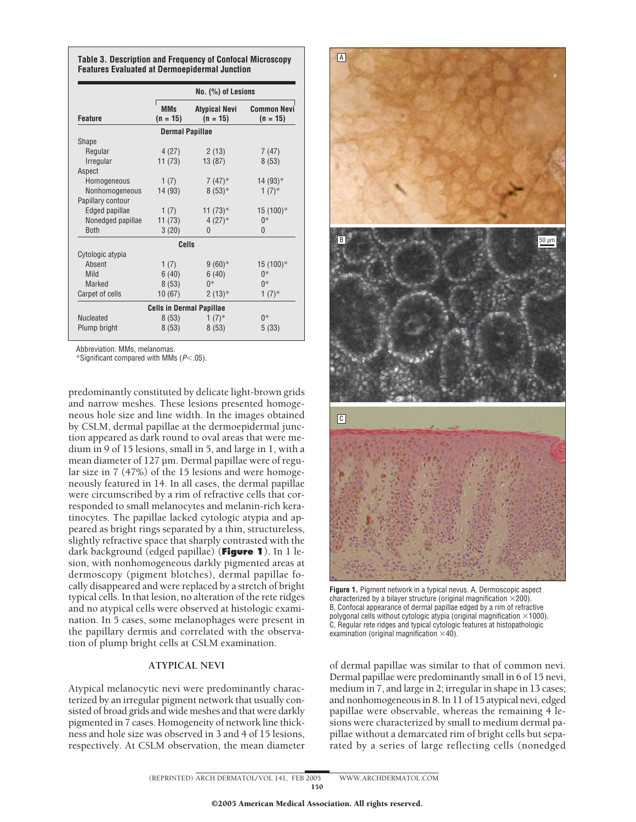|                   | $No.$ $(\%)$ of Lesions         |                                    |                                  |
|-------------------|---------------------------------|------------------------------------|----------------------------------|
| <b>Feature</b>    | <b>MMs</b><br>$(n = 15)$        | <b>Atypical Nevi</b><br>$(n = 15)$ | <b>Common Nevi</b><br>$(n = 15)$ |
|                   | <b>Dermal Papillae</b>          |                                    |                                  |
| Shape             |                                 |                                    |                                  |
| Regular           | 4(27)                           | 2(13)                              | 7 (47)                           |
| Irregular         | 11(73)                          | 13(87)                             | 8(53)                            |
| Aspect            |                                 |                                    |                                  |
| Homogeneous       | 1(7)                            | $7(47)^*$                          | $14(93)*$                        |
| Nonhomogeneous    | 14 (93)                         | $8(53)*$                           | $1(7)$ *                         |
| Papillary contour |                                 |                                    |                                  |
| Edged papillae    | 1(7)                            | $11(73)*$                          | 15 (100)*                        |
| Nonedged papillae | 11 (73)                         | $4(27)*$                           | $0*$                             |
| <b>Both</b>       | 3(20)                           | $\mathbf{0}$                       | 0                                |
|                   | Cells                           |                                    |                                  |
| Cytologic atypia  |                                 |                                    |                                  |
| Absent            | 1(7)                            | $9(60)*$                           | 15 (100)*                        |
| Mild              | 6(40)                           | 6(40)                              | $0*$                             |
| <b>Marked</b>     | 8(53)                           | $0*$                               | $0*$                             |
| Carpet of cells   | 10(67)                          | $2(13)*$                           | $1(7)$ *                         |
|                   | <b>Cells in Dermal Papillae</b> |                                    |                                  |
| <b>Nucleated</b>  | 8(53)                           | $1(7)^*$                           | $0*$                             |
| Plump bright      | 8(53)                           | 8(53)                              | 5(33)                            |

**Table 3. Description and Frequency of Confocal Microscopy Features Evaluated at Dermoepidermal Junction**

Abbreviation: MMs, melanomas.

\*Significant compared with MMs  $(P<.05)$ .

predominantly constituted by delicate light-brown grids and narrow meshes. These lesions presented homogeneous hole size and line width. In the images obtained by CSLM, dermal papillae at the dermoepidermal junction appeared as dark round to oval areas that were medium in 9 of 15 lesions, small in 5, and large in 1, with a mean diameter of 127 µm. Dermal papillae were of regular size in 7 (47%) of the 15 lesions and were homogeneously featured in 14. In all cases, the dermal papillae were circumscribed by a rim of refractive cells that corresponded to small melanocytes and melanin-rich keratinocytes. The papillae lacked cytologic atypia and appeared as bright rings separated by a thin, structureless, slightly refractive space that sharply contrasted with the dark background (edged papillae) (**Figure 1**). In 1 lesion, with nonhomogeneous darkly pigmented areas at dermoscopy (pigment blotches), dermal papillae focally disappeared and were replaced by a stretch of bright typical cells. In that lesion, no alteration of the rete ridges and no atypical cells were observed at histologic examination. In 5 cases, some melanophages were present in the papillary dermis and correlated with the observation of plump bright cells at CSLM examination.

### **ATYPICAL NEVI**

Atypical melanocytic nevi were predominantly characterized by an irregular pigment network that usually consisted of broad grids and wide meshes and that were darkly pigmented in 7 cases. Homogeneity of network line thickness and hole size was observed in 3 and 4 of 15 lesions, respectively. At CSLM observation, the mean diameter



**Figure 1.** Pigment network in a typical nevus. A, Dermoscopic aspect characterized by a bilayer structure (original magnification  $\times$  200). B, Confocal appearance of dermal papillae edged by a rim of refractive polygonal cells without cytologic atypia (original magnification  $\times$ 1000). C, Regular rete ridges and typical cytologic features at histopathologic examination (original magnification  $\times$ 40).

of dermal papillae was similar to that of common nevi. Dermal papillae were predominantly small in 6 of 15 nevi, medium in 7, and large in 2; irregular in shape in 13 cases; and nonhomogeneous in 8. In 11 of 15 atypical nevi, edged papillae were observable, whereas the remaining 4 lesions were characterized by small to medium dermal papillae without a demarcated rim of bright cells but separated by a series of large reflecting cells (nonedged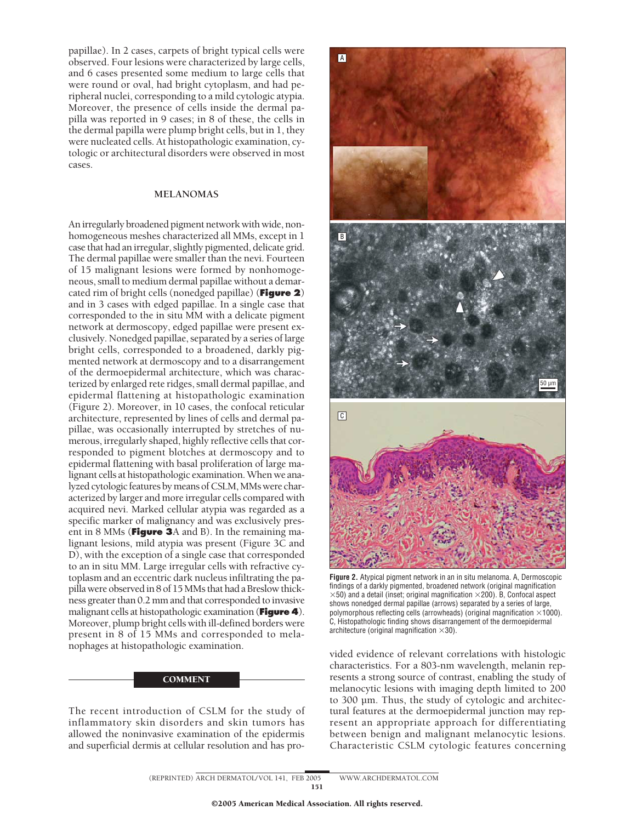papillae). In 2 cases, carpets of bright typical cells were observed. Four lesions were characterized by large cells, and 6 cases presented some medium to large cells that were round or oval, had bright cytoplasm, and had peripheral nuclei, corresponding to a mild cytologic atypia. Moreover, the presence of cells inside the dermal papilla was reported in 9 cases; in 8 of these, the cells in the dermal papilla were plump bright cells, but in 1, they were nucleated cells. At histopathologic examination, cytologic or architectural disorders were observed in most cases.

#### **MELANOMAS**

An irregularly broadened pigment network with wide, nonhomogeneous meshes characterized all MMs, except in 1 case that had an irregular, slightly pigmented, delicate grid. The dermal papillae were smaller than the nevi. Fourteen of 15 malignant lesions were formed by nonhomogeneous, small to medium dermal papillae without a demarcated rim of bright cells (nonedged papillae) (**Figure 2**) and in 3 cases with edged papillae. In a single case that corresponded to the in situ MM with a delicate pigment network at dermoscopy, edged papillae were present exclusively. Nonedged papillae, separated by a series of large bright cells, corresponded to a broadened, darkly pigmented network at dermoscopy and to a disarrangement of the dermoepidermal architecture, which was characterized by enlarged rete ridges, small dermal papillae, and epidermal flattening at histopathologic examination (Figure 2). Moreover, in 10 cases, the confocal reticular architecture, represented by lines of cells and dermal papillae, was occasionally interrupted by stretches of numerous, irregularly shaped, highly reflective cells that corresponded to pigment blotches at dermoscopy and to epidermal flattening with basal proliferation of large malignant cells at histopathologic examination.When we analyzed cytologic features by means of CSLM, MMs were characterized by larger and more irregular cells compared with acquired nevi. Marked cellular atypia was regarded as a specific marker of malignancy and was exclusively present in 8 MMs (**Figure 3**A and B). In the remaining malignant lesions, mild atypia was present (Figure 3C and D), with the exception of a single case that corresponded to an in situ MM. Large irregular cells with refractive cytoplasm and an eccentric dark nucleus infiltrating the papilla were observed in 8 of 15MMs that had a Breslow thickness greater than 0.2 mm and that corresponded to invasive malignant cells at histopathologic examination (**Figure 4**). Moreover, plump bright cells with ill-defined borders were present in 8 of 15 MMs and corresponded to melanophages at histopathologic examination.

#### **COMMENT**

The recent introduction of CSLM for the study of inflammatory skin disorders and skin tumors has allowed the noninvasive examination of the epidermis and superficial dermis at cellular resolution and has pro-



**Figure 2.** Atypical pigment network in an in situ melanoma. A, Dermoscopic findings of a darkly pigmented, broadened network (original magnification  $\times$ 50) and a detail (inset; original magnification  $\times$ 200). B, Confocal aspect shows nonedged dermal papillae (arrows) separated by a series of large, polymorphous reflecting cells (arrowheads) (original magnification  $\times$ 1000). C, Histopathologic finding shows disarrangement of the dermoepidermal architecture (original magnification  $\times 30$ ).

vided evidence of relevant correlations with histologic characteristics. For a 803-nm wavelength, melanin represents a strong source of contrast, enabling the study of melanocytic lesions with imaging depth limited to 200 to 300 µm. Thus, the study of cytologic and architectural features at the dermoepidermal junction may represent an appropriate approach for differentiating between benign and malignant melanocytic lesions. Characteristic CSLM cytologic features concerning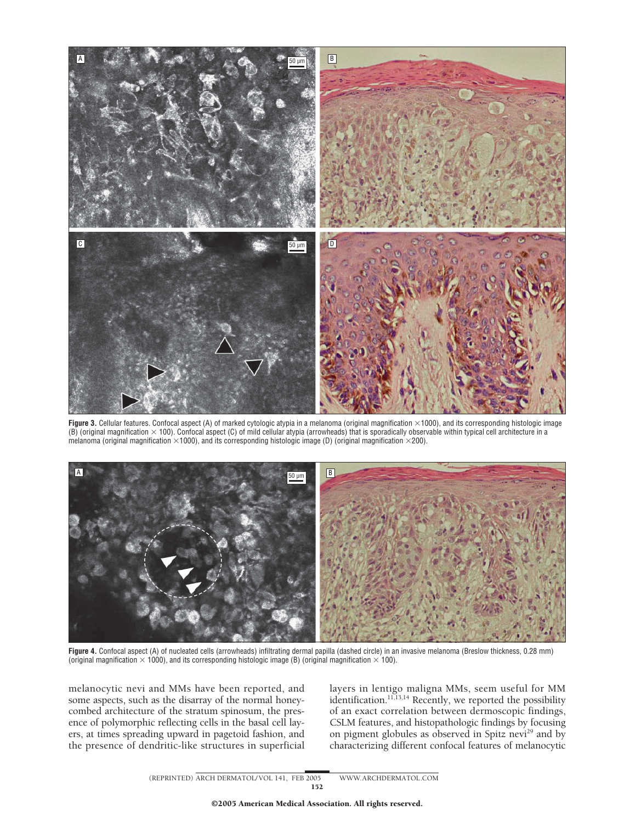

Figure 3. Cellular features. Confocal aspect (A) of marked cytologic atypia in a melanoma (original magnification ×1000), and its corresponding histologic image (B) (original magnification  $\times$  100). Confocal aspect (C) of mild cellular atypia (arrowheads) that is sporadically observable within typical cell architecture in a melanoma (original magnification  $\times$ 1000), and its corresponding histologic image (D) (original magnification  $\times$ 200).



Figure 4. Confocal aspect (A) of nucleated cells (arrowheads) infiltrating dermal papilla (dashed circle) in an invasive melanoma (Breslow thickness, 0.28 mm) (original magnification  $\times$  1000), and its corresponding histologic image (B) (original magnification  $\times$  100).

melanocytic nevi and MMs have been reported, and some aspects, such as the disarray of the normal honeycombed architecture of the stratum spinosum, the presence of polymorphic reflecting cells in the basal cell layers, at times spreading upward in pagetoid fashion, and the presence of dendritic-like structures in superficial layers in lentigo maligna MMs, seem useful for MM identification.<sup>11,13,14</sup> Recently, we reported the possibility of an exact correlation between dermoscopic findings, CSLM features, and histopathologic findings by focusing on pigment globules as observed in Spitz nevi<sup>29</sup> and by characterizing different confocal features of melanocytic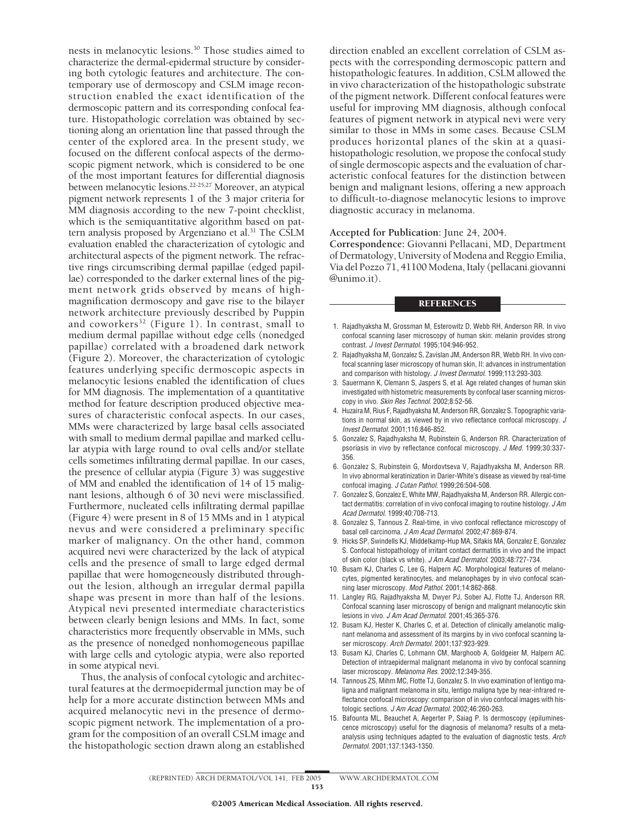nests in melanocytic lesions.30 Those studies aimed to characterize the dermal-epidermal structure by considering both cytologic features and architecture. The contemporary use of dermoscopy and CSLM image reconstruction enabled the exact identification of the dermoscopic pattern and its corresponding confocal feature. Histopathologic correlation was obtained by sectioning along an orientation line that passed through the center of the explored area. In the present study, we focused on the different confocal aspects of the dermoscopic pigment network, which is considered to be one of the most important features for differential diagnosis between melanocytic lesions.<sup>22-25,27</sup> Moreover, an atypical pigment network represents 1 of the 3 major criteria for MM diagnosis according to the new 7-point checklist, which is the semiquantitative algorithm based on pattern analysis proposed by Argenziano et al.<sup>31</sup> The CSLM evaluation enabled the characterization of cytologic and architectural aspects of the pigment network. The refractive rings circumscribing dermal papillae (edged papillae) corresponded to the darker external lines of the pigment network grids observed by means of highmagnification dermoscopy and gave rise to the bilayer network architecture previously described by Puppin and coworkers<sup>32</sup> (Figure 1). In contrast, small to medium dermal papillae without edge cells (nonedged papillae) correlated with a broadened dark network (Figure 2). Moreover, the characterization of cytologic features underlying specific dermoscopic aspects in melanocytic lesions enabled the identification of clues for MM diagnosis. The implementation of a quantitative method for feature description produced objective measures of characteristic confocal aspects. In our cases, MMs were characterized by large basal cells associated with small to medium dermal papillae and marked cellular atypia with large round to oval cells and/or stellate cells sometimes infiltrating dermal papillae. In our cases, the presence of cellular atypia (Figure 3) was suggestive of MM and enabled the identification of 14 of 15 malignant lesions, although 6 of 30 nevi were misclassified. Furthermore, nucleated cells infiltrating dermal papillae (Figure 4) were present in 8 of 15 MMs and in 1 atypical nevus and were considered a preliminary specific marker of malignancy. On the other hand, common acquired nevi were characterized by the lack of atypical cells and the presence of small to large edged dermal papillae that were homogeneously distributed throughout the lesion, although an irregular dermal papilla shape was present in more than half of the lesions. Atypical nevi presented intermediate characteristics between clearly benign lesions and MMs. In fact, some characteristics more frequently observable in MMs, such as the presence of nonedged nonhomogeneous papillae with large cells and cytologic atypia, were also reported in some atypical nevi.

Thus, the analysis of confocal cytologic and architectural features at the dermoepidermal junction may be of help for a more accurate distinction between MMs and acquired melanocytic nevi in the presence of dermoscopic pigment network. The implementation of a program for the composition of an overall CSLM image and the histopathologic section drawn along an established direction enabled an excellent correlation of CSLM aspects with the corresponding dermoscopic pattern and histopathologic features. In addition, CSLM allowed the in vivo characterization of the histopathologic substrate of the pigment network. Different confocal features were useful for improving MM diagnosis, although confocal features of pigment network in atypical nevi were very similar to those in MMs in some cases. Because CSLM produces horizontal planes of the skin at a quasihistopathologic resolution, we propose the confocal study of single dermoscopic aspects and the evaluation of characteristic confocal features for the distinction between benign and malignant lesions, offering a new approach to difficult-to-diagnose melanocytic lesions to improve diagnostic accuracy in melanoma.

#### **Accepted for Publication:** June 24, 2004.

**Correspondence:** Giovanni Pellacani, MD, Department of Dermatology, University of Modena and Reggio Emilia, Via del Pozzo 71, 41100 Modena, Italy (pellacani.giovanni @unimo.it).

#### **REFERENCES**

- 1. Rajadhyaksha M, Grossman M, Esterowitz D, Webb RH, Anderson RR. In vivo confocal scanning laser microscopy of human skin: melanin provides strong contrast. *J Invest Dermatol*. 1995;104:946-952.
- 2. Rajadhyaksha M, Gonzalez S, Zavislan JM, Anderson RR, Webb RH. In vivo confocal scanning laser microscopy of human skin, II: advances in instrumentation and comparison with histology. *J Invest Dermatol*. 1999;113:293-303.
- 3. Sauermann K, Clemann S, Jaspers S, et al. Age related changes of human skin investigated with histometric measurements by confocal laser scanning microscopy in vivo. *Skin Res Technol*. 2002;8:52-56.
- 4. Huzaira M, Rius F, Rajadhyaksha M, Anderson RR, Gonzalez S. Topographic variations in normal skin, as viewed by in vivo reflectance confocal microscopy. *J Invest Dermatol*. 2001;116:846-852.
- 5. Gonzalez S, Rajadhyaksha M, Rubinstein G, Anderson RR. Characterization of psoriasis in vivo by reflectance confocal microscopy. *J Med*. 1999;30:337- 356.
- 6. Gonzalez S, Rubinstein G, Mordovtseva V, Rajadhyaksha M, Anderson RR. In vivo abnormal keratinization in Darier-White's disease as viewed by real-time confocal imaging. *J Cutan Pathol*. 1999;26:504-508.
- 7. Gonzalez S, Gonzalez E, White MW, Rajadhyaksha M, Anderson RR. Allergic contact dermatitis: correlation of in vivo confocal imaging to routine histology. *J Am Acad Dermatol*. 1999;40:708-713.
- 8. Gonzalez S, Tannous Z. Real-time, in vivo confocal reflectance microscopy of basal cell carcinoma. *J Am Acad Dermatol*. 2002;47:869-874.
- 9. Hicks SP, Swindells KJ, Middelkamp-Hup MA, Sifakis MA, Gonzalez E, Gonzalez S. Confocal histopathology of irritant contact dermatitis in vivo and the impact of skin color (black vs white). *J Am Acad Dermatol*. 2003;48:727-734.
- 10. Busam KJ, Charles C, Lee G, Halpern AC. Morphological features of melanocytes, pigmented keratinocytes, and melanophages by in vivo confocal scanning laser microscopy. *Mod Pathol*. 2001;14:862-868.
- 11. Langley RG, Rajadhyaksha M, Dwyer PJ, Sober AJ, Flotte TJ, Anderson RR. Confocal scanning laser microscopy of benign and malignant melanocytic skin lesions in vivo. *J Am Acad Dermatol*. 2001;45:365-376.
- 12. Busam KJ, Hester K, Charles C, et al. Detection of clinically amelanotic malignant melanoma and assessment of its margins by in vivo confocal scanning laser microscopy. *Arch Dermatol*. 2001;137:923-929.
- 13. Busam KJ, Charles C, Lohmann CM, Marghoob A, Goldgeier M, Halpern AC. Detection of intraepidermal malignant melanoma in vivo by confocal scanning laser microscopy. *Melanoma Res*. 2002;12:349-355.
- 14. Tannous ZS, Mihm MC, Flotte TJ, Gonzalez S. In vivo examination of lentigo maligna and malignant melanoma in situ, lentigo maligna type by near-infrared reflectance confocal microscopy: comparison of in vivo confocal images with histologic sections. *J Am Acad Dermatol*. 2002;46:260-263.
- 15. Bafounta ML, Beauchet A, Aegerter P, Saiag P. Is dermoscopy (epiluminescence microscopy) useful for the diagnosis of melanoma? results of a metaanalysis using techniques adapted to the evaluation of diagnostic tests. *Arch Dermatol*. 2001;137:1343-1350.